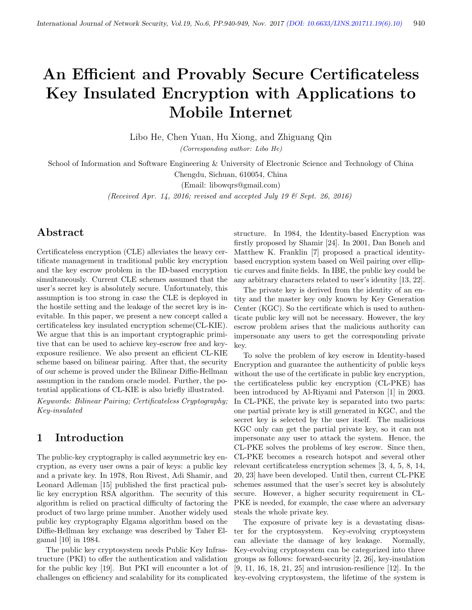# An Efficient and Provably Secure Certificateless Key Insulated Encryption with Applications to Mobile Internet

Libo He, Chen Yuan, Hu Xiong, and Zhiguang Qin (Corresponding author: Libo He)

School of Information and Software Engineering & University of Electronic Science and Technology of China Chengdu, Sichuan, 610054, China

(Email: libowqrs@gmail.com)

(Received Apr. 14, 2016; revised and accepted July 19 & Sept. 26, 2016)

## Abstract

Certificateless encryption (CLE) alleviates the heavy certificate management in traditional public key encryption and the key escrow problem in the ID-based encryption simultaneously. Current CLE schemes assumed that the user's secret key is absolutely secure. Unfortunately, this assumption is too strong in case the CLE is deployed in the hostile setting and the leakage of the secret key is inevitable. In this paper, we present a new concept called a certificateless key insulated encryption scheme(CL-KIE). We argue that this is an important cryptographic primitive that can be used to achieve key-escrow free and keyexposure resilience. We also present an efficient CL-KIE scheme based on bilinear pairing. After that, the security of our scheme is proved under the Bilinear Diffie-Hellman assumption in the random oracle model. Further, the potential applications of CL-KIE is also briefly illustrated.

Keywords: Bilinear Pairing; Certificateless Cryptography; Key-insulated

## 1 Introduction

The public-key cryptography is called asymmetric key encryption, as every user owns a pair of keys: a public key and a private key. In 1978, Ron Rivest, Adi Shamir, and Leonard Adleman [15] published the first practical public key encryption RSA algorithm. The security of this algorithm is relied on practical difficulty of factoring the product of two large prime number. Another widely used public key cryptography Elgama algorithm based on the Diffie-Hellman key exchange was described by Taher Elgamal [10] in 1984.

The public key cryptosystem needs Public Key Infrastructure (PKI) to offer the authentication and validation for the public key [19]. But PKI will encounter a lot of challenges on efficiency and scalability for its complicated

structure. In 1984, the Identity-based Encryption was firstly proposed by Shamir [24]. In 2001, Dan Boneh and Matthew K. Franklin [7] proposed a practical identitybased encryption system based on Weil pairing over elliptic curves and finite fields. In IBE, the public key could be any arbitrary characters related to user's identity [13, 22].

The private key is derived from the identity of an entity and the master key only known by Key Generation Center (KGC). So the certificate which is used to authenticate public key will not be necessary. However, the key escrow problem arises that the malicious authority can impersonate any users to get the corresponding private key.

To solve the problem of key escrow in Identity-based Encryption and guarantee the authenticity of public keys without the use of the certificate in public key encryption, the certificateless public key encryption (CL-PKE) has been introduced by Al-Riyami and Paterson [1] in 2003. In CL-PKE, the private key is separated into two parts: one partial private key is still generated in KGC, and the secret key is selected by the user itself. The malicious KGC only can get the partial private key, so it can not impersonate any user to attack the system. Hence, the CL-PKE solves the problems of key escrow. Since then, CL-PKE becomes a research hotspot and several other relevant certificateless encryption schemes [3, 4, 5, 8, 14, 20, 23] have been developed. Until then, current CL-PKE schemes assumed that the user's secret key is absolutely secure. However, a higher security requirement in CL-PKE is needed, for example, the case where an adversary steals the whole private key.

The exposure of private key is a devastating disaster for the cryptosystem. Key-evolving cryptosystem can alleviate the damage of key leakage. Normally, Key-evolving cryptosystem can be categorized into three groups as follows: forward-security [2, 26], key-insulation [9, 11, 16, 18, 21, 25] and intrusion-resilience [12]. In the key-evolving cryptosystem, the lifetime of the system is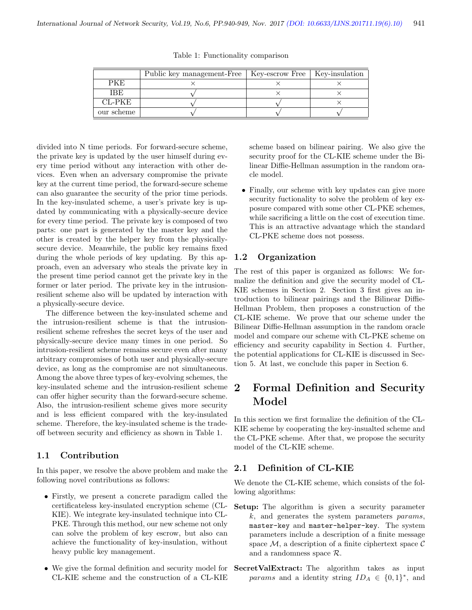|            | Public key management-Free   Key-escrow Free   Key-insulation |  |
|------------|---------------------------------------------------------------|--|
|            |                                                               |  |
| IBE        |                                                               |  |
| CL-PKE-    |                                                               |  |
| our scheme |                                                               |  |

Table 1: Functionality comparison

divided into N time periods. For forward-secure scheme, the private key is updated by the user himself during every time period without any interaction with other devices. Even when an adversary compromise the private key at the current time period, the forward-secure scheme can also guarantee the security of the prior time periods. In the key-insulated scheme, a user's private key is updated by communicating with a physically-secure device for every time period. The private key is composed of two parts: one part is generated by the master key and the other is created by the helper key from the physicallysecure device. Meanwhile, the public key remains fixed during the whole periods of key updating. By this approach, even an adversary who steals the private key in the present time period cannot get the private key in the former or later period. The private key in the intrusionresilient scheme also will be updated by interaction with a physically-secure device.

The difference between the key-insulated scheme and the intrusion-resilient scheme is that the intrusionresilient scheme refreshes the secret keys of the user and physically-secure device many times in one period. So intrusion-resilient scheme remains secure even after many arbitrary compromises of both user and physically-secure device, as long as the compromise are not simultaneous. Among the above three types of key-evolving schemes, the key-insulated scheme and the intrusion-resilient scheme can offer higher security than the forward-secure scheme. Also, the intrusion-resilient scheme gives more security and is less efficient compared with the key-insulated scheme. Therefore, the key-insulated scheme is the tradeoff between security and efficiency as shown in Table 1.

#### 1.1 Contribution

In this paper, we resolve the above problem and make the following novel contributions as follows:

- Firstly, we present a concrete paradigm called the certificateless key-insulated encryption scheme (CL-KIE). We integrate key-insulated technique into CL-PKE. Through this method, our new scheme not only can solve the problem of key escrow, but also can achieve the functionality of key-insulation, without heavy public key management.
- We give the formal definition and security model for CL-KIE scheme and the construction of a CL-KIE

scheme based on bilinear pairing. We also give the security proof for the CL-KIE scheme under the Bilinear Diffie-Hellman assumption in the random oracle model.

• Finally, our scheme with key updates can give more security fuctionality to solve the problem of key exposure compared with some other CL-PKE schemes, while sacrificing a little on the cost of execution time. This is an attractive advantage which the standard CL-PKE scheme does not possess.

#### 1.2 Organization

The rest of this paper is organized as follows: We formalize the definition and give the security model of CL-KIE schemes in Section 2. Section 3 first gives an introduction to bilinear pairings and the Bilinear Diffie-Hellman Problem, then proposes a construction of the CL-KIE scheme. We prove that our scheme under the Bilinear Diffie-Hellman assumption in the random oracle model and compare our scheme with CL-PKE scheme on efficiency and security capability in Section 4. Further, the potential applications for CL-KIE is discussed in Section 5. At last, we conclude this paper in Section 6.

## 2 Formal Definition and Security Model

In this section we first formalize the definition of the CL-KIE scheme by cooperating the key-insualted scheme and the CL-PKE scheme. After that, we propose the security model of the CL-KIE scheme.

#### 2.1 Definition of CL-KIE

We denote the CL-KIE scheme, which consists of the following algorithms:

- Setup: The algorithm is given a security parameter k, and generates the system parameters params, master-key and master-helper-key. The system parameters include a description of a finite message space  $\mathcal{M}$ , a description of a finite ciphertext space  $\mathcal{C}$ and a randomness space R.
- SecretValExtract: The algorithm takes as input params and a identity string  $ID_A \in \{0,1\}^*$ , and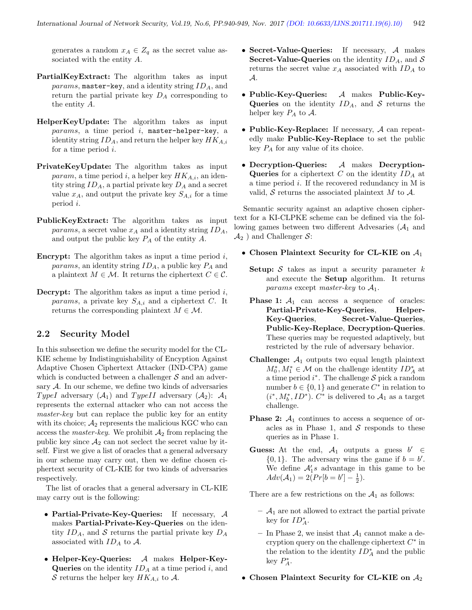generates a random  $x_A \in Z_q$  as the secret value associated with the entity A.

- PartialKeyExtract: The algorithm takes as input params, master-key, and a identity string  $ID_A$ , and return the partial private key  $D_A$  corresponding to the entity A.
- HelperKeyUpdate: The algorithm takes as input  $params,$  a time period  $i,$  master-helper-key, a identity string  $ID_A$ , and return the helper key  $HK_{A,i}$ for a time period i.
- PrivateKeyUpdate: The algorithm takes as input *param*, a time period i, a helper key  $HK_{A,i}$ , an identity string  $ID_A$ , a partial private key  $D_A$  and a secret value  $x_A$ , and output the private key  $S_{A,i}$  for a time period i.
- PublicKeyExtract: The algorithm takes as input params, a secret value  $x_A$  and a identity string  $ID_A$ , and output the public key  $P_A$  of the entity  $A$ .
- **Encrypt:** The algorithm takes as input a time period  $i$ , *params*, an identity string  $ID_A$ , a public key  $P_A$  and a plaintext  $M \in \mathcal{M}$ . It returns the ciphertext  $C \in \mathcal{C}$ .
- **Decrypt:** The algorithm takes as input a time period  $i$ , params, a private key  $S_{A,i}$  and a ciphertext C. It returns the corresponding plaintext  $M \in \mathcal{M}$ .

#### 2.2 Security Model

In this subsection we define the security model for the CL-KIE scheme by Indistinguishability of Encyption Against Adaptive Chosen Ciphertext Attacker (IND-CPA) game which is conducted between a challenger  $S$  and an adversary A. In our scheme, we define two kinds of adversaries TypeI adversary  $(A_1)$  and TypeII adversary  $(A_2)$ :  $A_1$ represents the external attacker who can not access the master-key but can replace the public key for an entity with its choice;  $A_2$  represents the malicious KGC who can access the *master-key*. We prohibit  $A_2$  from replacing the public key since  $\mathcal{A}_2$  can not seclect the secret value by itself. First we give a list of oracles that a general adversary in our scheme may carry out, then we define chosen ciphertext security of CL-KIE for two kinds of adversaries respectively.

The list of oracles that a general adversary in CL-KIE may carry out is the following:

- Partial-Private-Key-Queries: If necessary, A makes Partial-Private-Key-Queries on the identity  $ID_A$ , and S returns the partial private key  $D_A$ associated with  $ID_A$  to  $A$ .
- Helper-Key-Queries: A makes Helper-Key-**Queries** on the identity  $ID_A$  at a time period i, and S returns the helper key  $HK_{A,i}$  to A.
- Secret-Value-Queries: If necessary, A makes Secret-Value-Queries on the identity  $ID_A$ , and S returns the secret value  $x_A$  associated with  $ID_A$  to A.
- Public-Key-Queries: A makes Public-Key-Queries on the identity  $ID_A$ , and S returns the helper key  $P_A$  to  $A$ .
- Public-Key-Replace: If necessary,  $A$  can repeatedly make Public-Key-Replace to set the public key  $P_A$  for any value of its choice.
- Decryption-Queries: A makes Decryption-Queries for a ciphertext C on the identity  $ID_A$  at a time period i. If the recovered redundancy in M is valid,  $S$  returns the associated plaintext M to  $A$ .

Semantic security against an adaptive chosen ciphertext for a KI-CLPKE scheme can be defined via the following games between two different Advesaries  $(A_1 \text{ and }$  $\mathcal{A}_2$ ) and Challenger S:

#### • Chosen Plaintext Security for CL-KIE on  $A_1$

- **Setup:**  $S$  takes as input a security parameter  $k$ and execute the Setup algorithm. It returns params except master-key to  $A_1$ .
- **Phase 1:**  $A_1$  can access a sequence of oracles: Partial-Private-Key-Queries, Helper-Key-Queries, Secret-Value-Queries, Public-Key-Replace, Decryption-Queries. These queries may be requested adaptively, but restricted by the rule of adversary behavior.
- **Challenge:**  $A_1$  outputs two equal length plaintext  $M_0^*, M_1^* \in \mathcal{M}$  on the challenge identity  $ID_A^*$  at a time period  $i^*$ . The challenge S pick a random number  $b \in \{0, 1\}$  and generate  $C^*$  in relation to  $(i^*, M_b^*, ID^*)$ .  $C^*$  is delivered to  $\mathcal{A}_1$  as a target challenge.
- **Phase 2:**  $A_1$  continues to access a sequence of oracles as in Phase 1, and  $S$  responds to these queries as in Phase 1.
- Guess: At the end,  $A_1$  outputs a guess  $b' \in$  $\{0, 1\}$ . The adversary wins the game if  $b = b'$ . We define  $\mathcal{A}'_1$ s advantage in this game to be  $Adv(A_1) = 2(Pr[b = b'] - \frac{1}{2}).$

There are a few restrictions on the  $A_1$  as follows:

- $\mathcal{A}_1$  are not allowed to extract the partial private key for  $ID_A^*$ .
- In Phase 2, we insist that  $\mathcal{A}_1$  cannot make a decryption query on the challenge ciphertext  $C^*$  in the relation to the identity  $ID_A^*$  and the public key  $P_A^*$ .
- Chosen Plaintext Security for CL-KIE on  $A_2$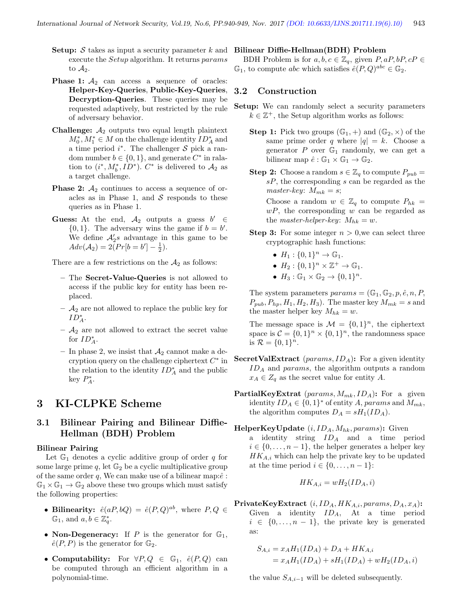- **Setup:**  $S$  takes as input a security parameter  $k$  and execute the Setup algorithm. It returns params to  $A_2$ .
- **Phase 1:**  $A_2$  can access a sequence of oracles: Helper-Key-Queries, Public-Key-Queries, Decryption-Queries. These queries may be requested adaptively, but restricted by the rule of adversary behavior.
- **Challenge:**  $A_2$  outputs two equal length plaintext  $M_0^*, M_1^* \in M$  on the challenge identity  $ID_A^*$  and a time period  $i^*$ . The challenger S pick a random number  $b \in \{0, 1\}$ , and generate  $C^*$  in ralation to  $(i^*, M_b^*, ID^*)$ .  $C^*$  is delivered to  $\mathcal{A}_2$  as a target challenge.
- **Phase 2:**  $A_2$  continues to access a sequence of oracles as in Phase 1, and  $S$  responds to these queries as in Phase 1.
- Guess: At the end,  $A_2$  outputs a guess  $b' \in$  $\{0, 1\}$ . The adversary wins the game if  $b = b'$ . We define  $\mathcal{A}'_2$ s advantage in this game to be  $Adv(A_2) = 2(Pr[b = b'] - \frac{1}{2}).$

There are a few restrictions on the  $A_2$  as follows:

- The Secret-Value-Queries is not allowed to access if the public key for entity has been replaced.
- $\mathcal{A}_2$  are not allowed to replace the public key for  $ID_A^*$ .
- $A_2$  are not allowed to extract the secret value for  $ID_A^*$ .
- In phase 2, we insist that  $A_2$  cannot make a decryption query on the challenge ciphertext  $C^*$  in the relation to the identity  $ID_A^*$  and the public key  $P_A^*$ .

## 3 KI-CLPKE Scheme

## 3.1 Bilinear Pairing and Bilinear Diffie-Hellman (BDH) Problem

#### Bilinear Pairing

Let  $\mathbb{G}_1$  denotes a cyclic additive group of order q for some large prime  $q$ , let  $\mathbb{G}_2$  be a cyclic multiplicative group of the same order q, We can make use of a bilinear map: $\hat{e}$ :  $\mathbb{G}_1 \times \mathbb{G}_1 \to \mathbb{G}_2$  above these two groups which must satisfy the following properties:

- Bilinearity:  $\hat{e}(aP, bQ) = \hat{e}(P, Q)^{ab}$ , where  $P, Q \in$  $\mathbb{G}_1$ , and  $a, b \in \mathbb{Z}_q^*$ .
- Non-Degeneracy: If P is the generator for  $\mathbb{G}_1$ ,  $\hat{e}(P, P)$  is the generator for  $\mathbb{G}_2$ .
- Computability: For  $\forall P, Q \in \mathbb{G}_1$ ,  $\hat{e}(P, Q)$  can be computed through an efficient algorithm in a polynomial-time.

#### Bilinear Diffie-Hellman(BDH) Problem

BDH Problem is for  $a, b, c \in \mathbb{Z}_q$ , given  $P, aP, bP, cP \in$  $\mathbb{G}_1$ , to compute abc which satisfies  $\hat{e}(P,Q)^{abc} \in \mathbb{G}_2$ .

#### 3.2 Construction

- Setup: We can randomly select a security parameters  $k \in \mathbb{Z}^+$ , the Setup algorithm works as follows:
	- **Step 1:** Pick two groups  $(\mathbb{G}_1, +)$  and  $(\mathbb{G}_2, \times)$  of the same prime order q where  $|q| = k$ . Choose a generator  $P$  over  $\mathbb{G}_1$  randomly, we can get a bilinear map  $\hat{e}: \mathbb{G}_1 \times \mathbb{G}_1 \to \mathbb{G}_2$ .
	- **Step 2:** Choose a random  $s \in \mathbb{Z}_q$  to compute  $P_{pub}$  =  $sP,$  the corresponding  $s$  can be regarded as the master-key:  $M_{mk} = s$ ; Choose a random  $w \in \mathbb{Z}_q$  to compute  $P_{hk} =$  $wP$ , the corresponding w can be regarded as the *master-helper-key:*  $M_{hk} = w$ .
	- **Step 3:** For some integer  $n > 0$ , we can select three cryptographic hash functions:
		- $H_1: \{0,1\}^n \to \mathbb{G}_1.$
		- $H_2: \{0,1\}^n \times \mathbb{Z}^+ \to \mathbb{G}_1.$
		- $H_3: \mathbb{G}_1 \times \mathbb{G}_2 \rightarrow \{0,1\}^n$ .

The system parameters  $params = (\mathbb{G}_1, \mathbb{G}_2, p, \hat{e}, n, P, \hat{e})$  $P_{pub}, P_{hp}, H_1, H_2, H_3$ . The master key  $M_{mk} = s$  and the master helper key  $M_{hk} = w$ .

The message space is  $\mathcal{M} = \{0, 1\}^n$ , the ciphertext space is  $C = \{0, 1\}^n \times \{0, 1\}^n$ , the randomness space is  $\mathcal{R} = \{0, 1\}^n$ .

- **SecretValExtract** (*params*,  $ID_A$ ): For a given identity  $ID_A$  and params, the algorithm outputs a random  $x_A \in Z_q$  as the secret value for entity A.
- **PartialKeyExtrat** (params,  $M_{mk}$ ,  $ID_A$ ): For a given identity  $ID_A \in \{0,1\}^*$  of entity A, params and  $M_{mk}$ , the algorithm computes  $D_A = sH_1(ID_A)$ .
- HelperKeyUpdate  $(i, ID_A, M_{hk}, \text{params})$ : Given a identity string ID<sup>A</sup> and a time period  $i \in \{0, \ldots, n-1\}$ , the helper generates a helper key  $HK_{A,i}$  which can help the private key to be updated at the time period  $i \in \{0, \ldots, n-1\}$ :

$$
HK_{A,i} = wH_2(ID_A, i)
$$

PrivateKeyExtract  $(i, ID_A, HK_{A,i}, params, D_A, x_A)$ : Given a identity  $ID_A$ , At a time period  $i \in \{0, \ldots, n-1\}$ , the private key is generated as:

$$
S_{A,i} = x_A H_1(ID_A) + D_A + HK_{A,i}
$$
  
=  $x_A H_1(ID_A) + sH_1(ID_A) + wH_2(ID_A,i)$ 

the value  $S_{A,i-1}$  will be deleted subsequently.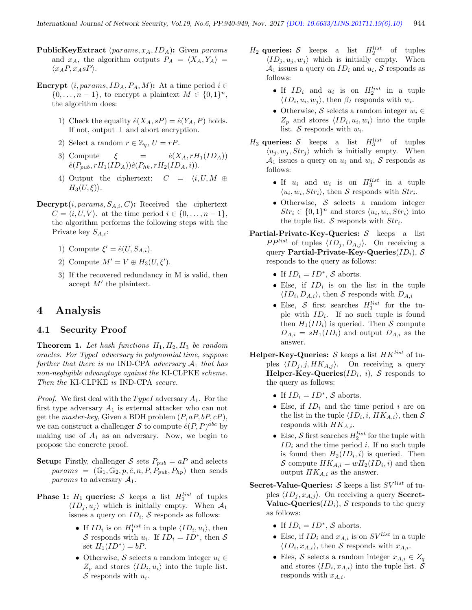- PublicKeyExtract (params,  $x_A$ ,  $ID_A$ ): Given params and  $x_A$ , the algorithm outputs  $P_A = \langle X_A, Y_A \rangle =$  $\langle x_A P, x_A s P \rangle$ .
- Encrypt  $(i, params, ID_A, P_A, M)$ : At a time period  $i \in$  $\{0,\ldots,n-1\}$ , to encrypt a plaintext  $M \in \{0,1\}^n$ , the algorithm does:
	- 1) Check the equality  $\hat{e}(X_A, sP) = \hat{e}(Y_A, P)$  holds. If not, output  $\perp$  and abort encryption.
	- 2) Select a random  $r \in \mathbb{Z}_q$ ,  $U = rP$ .
	- 3) Compute  $\xi = \hat{e}(X_A, rH_1(ID_A))$  $\hat{e}(P_{m\nu}, rH_1(ID_A))\hat{e}(P_{hk}, rH_2(ID_A, i)).$
	- 4) Output the ciphertext:  $C = \langle i, U, M \oplus \rangle$  $H_3(U,\xi)$ .
- **Decrypt** $(i, params, S_{A,i}, C)$ : Received the ciphertext  $C = \langle i, U, V \rangle$  at the time period  $i \in \{0, \ldots, n-1\},\$ the algorithm performs the following steps with the Private key  $S_{A,i}$ :
	- 1) Compute  $\xi' = \hat{e}(U, S_{A,i}).$
	- 2) Compute  $M' = V \oplus H_3(U, \xi').$
	- 3) If the recovered redundancy in M is valid, then accept  $M'$  the plaintext.

## 4 Analysis

#### 4.1 Security Proof

**Theorem 1.** Let hash functions  $H_1, H_2, H_3$  be random oracles. For TypeI adversary in polynomial time, suppose further that there is no IND-CPA adversary  $A_1$  that has non-negligible advangtage against the KI-CLPKE scheme. Then the KI-CLPKE is IND-CPA secure.

*Proof.* We first deal with the *TypeI* adversary  $A_1$ . For the first type adversary  $A_1$  is external attacker who can not get the *master-key*, Given a BDH problem  $(P, aP, bP, cP)$ , we can construct a challenger S to compute  $\hat{e}(P,P)^{abc}$  by making use of  $A_1$  as an adversary. Now, we begin to propose the concrete proof.

- **Setup:** Firstly, challenger S sets  $P_{pub} = aP$  and selects  $params = (\mathbb{G}_1, \mathbb{G}_2, p, \hat{e}, n, P, P_{pub}, P_{hp})$  then sends *params* to adversary  $A_1$ .
- **Phase 1:**  $H_1$  queries: S keeps a list  $H_1^{list}$  of tuples  $\langle ID_j , u_j \rangle$  which is initially empty. When  $\mathcal{A}_1$ issues a query on  $ID_i$ , S responds as follows:
	- If  $ID_i$  is on  $H_1^{list}$  in a tuple  $\langle ID_i, u_i \rangle$ , then S responds with  $u_i$ . If  $ID_i = ID^*$ , then S set  $H_1(ID^*) = bP$ .
	- Otherwise, S selects a random integer  $u_i \in$  $Z_p$  and stores  $\langle ID_i, u_i \rangle$  into the tuple list. S responds with  $u_i$ .
- $H_2$  queries: S keeps a list  $H_2^{list}$  of tuples  $\langle ID_j , u_j , w_j \rangle$  which is initially empty. When  $\mathcal{A}_1$  issues a query on  $ID_i$  and  $u_i$ , S responds as follows:
	- If  $ID_i$  and  $u_i$  is on  $H_2^{list}$  in a tuple  $\langle ID_i, u_i, w_j \rangle$ , then  $\beta_I$  responds with  $w_i$ .
	- Otherwise, S selects a random integer  $w_i \in$  $Z_p$  and stores  $\langle ID_i, u_i, w_i \rangle$  into the tuple list. S responds with  $w_i$ .
- $H_3$  queries: S keeps a list  $H_3^{list}$  of tuples  $\langle u_i, w_i, Str_j \rangle$  which is initially empty. When  $\mathcal{A}_1$  issues a query on  $u_i$  and  $w_i$ , S responds as follows:
	- If  $u_i$  and  $w_i$  is on  $H_3^{list}$  in a tuple  $\langle u_i, w_i, Str_i \rangle$ , then S responds with  $Str_i$ .
	- Otherwise,  $S$  selects a random integer  $Str_i \in \{0,1\}^n$  and stores  $\langle u_i, w_i, Str_i \rangle$  into the tuple list.  $S$  responds with  $Str_i$ .
- **Partial-Private-Key-Queries:**  $S$  keeps a list  $PP^{list}$  of tuples  $\langle ID_j, D_{A,j} \rangle$ . On receiving a query Partial-Private-Key-Queries $(ID_i), S$ responds to the query as follows:
	- If  $ID_i = ID^*, S$  aborts.
	- Else, if  $ID_i$  is on the list in the tuple  $\langle ID_i, D_{A,i} \rangle$ , then S responds with  $D_{A,i}$
	- Else, S first searches  $H_1^{list}$  for the tuple with  $ID_i$ . If no such tuple is found then  $H_1(ID_i)$  is queried. Then S compute  $D_{A,i} = sH_1(ID_i)$  and output  $D_{A,i}$  as the answer.
- Helper-Key-Queries:  $S$  keeps a list  $HK^{list}$  of tuples  $\langle ID_j, j, HK_{A,j} \rangle$ . On receiving a query  $\mathbf{Helper\text{-}Key\text{-}Queries}(ID_i, i), S$  responds to the query as follows:
	- If  $ID_i = ID^*, S$  aborts.
	- Else, if  $ID_i$  and the time period i are on the list in the tuple  $\langle ID_i, i, HK_{A,i} \rangle$ , then S responds with  $HK_{A,i}$ .
	- Else,  $S$  first searches  $H_2^{list}$  for the tuple with  $ID_i$  and the time period i. If no such tuple is found then  $H_2(ID_i, i)$  is queried. Then S compute  $HK_{A,i} = wH_2(ID_i, i)$  and then output  $HK_{A,i}$  as the answer.
- **Secret-Value-Queries:** S keeps a list  $SV^{list}$  of tuples  $\langle ID_j , x_{A,j} \rangle$ . On receiving a query **Secret-Value-Queries**( $ID<sub>i</sub>$ ), S responds to the query as follows:
	- If  $ID_i = ID^*, S$  aborts.
	- Else, if  $ID_i$  and  $x_{A,i}$  is on  $SV^{list}$  in a tuple  $\langle ID_i, x_{A,i} \rangle$ , then S responds with  $x_{A,i}$ .
	- Eles, S selects a random integer  $x_{A,i} \in Z_q$ and stores  $\langle ID_i, x_{A,i} \rangle$  into the tuple list. S responds with  $x_{A,i}$ .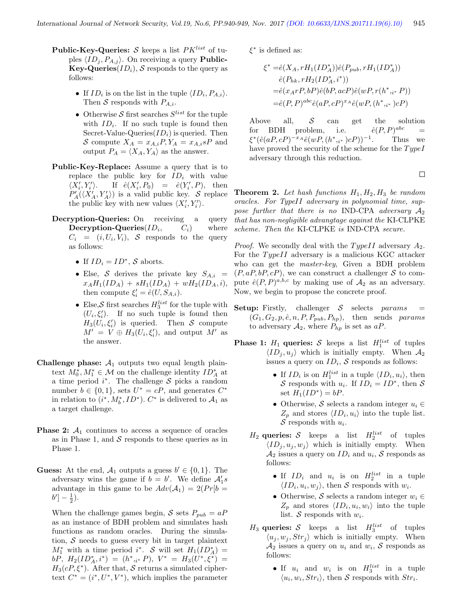- **Public-Key-Queries:** S keeps a list  $PK^{list}$  of tuples  $\langle ID_j , P_{A,j} \rangle$ . On receiving a query **Public-Key-Queries** $(ID_i)$ , S responds to the query as follows:
	- If  $ID_i$  is on the list in the tuple  $\langle ID_i, P_{A,i} \rangle$ . Then S responds with  $P_{A,i}$ .
	- Otherwise  $S$  first searches  $S^{list}$  for the tuple with  $ID_i$ . If no such tuple is found then Secret-Value-Queries $(ID_i)$  is queried. Then S compute  $X_A = x_{A,i} P, Y_A = x_{A,i} s P$  and output  $P_A = \langle X_A, Y_A \rangle$  as the answer.
- Public-Key-Replace: Assume a query that is to replace the public key for  $ID_i$  with value  $\langle X'_i,Y'_i$  $\lambda$ . If  $\hat{e}(X'_i, P_0) = \hat{e}(Y'_i, P)$ , then  $P'_{A}(\langle X'_{A}, Y'_{A}\rangle)$  is a valid public key. S replace the public key with new values  $\langle X'_i, Y'_i \rangle$ .
- Decryption-Queries: On receiving a query Decryption-Queries $(ID_i,$  $C_i$ ) where  $C_i = (i, U_i, V_i), S$  responds to the query as follows:
	- If  $ID_i = ID^*, S$  aborts.
	- Else, S derives the private key  $S_{A,i}$  =  $x_AH_1(ID_A) + sH_1(ID_A) + wH_2(ID_A, i),$ then compute  $\xi_i' = \hat{e}(U, S_{A,i}).$
	- Else, S first searches  $H_3^{list}$  for the tuple with  $(U_i, \xi'_i)$ . If no such tuple is found then  $H_3(U_i, \xi'_i)$  is queried. Then S compute  $M' = V \oplus H_3(U_i, \xi'_i)$ , and output  $M'$  as the answer.
- **Challenge phase:**  $A_1$  outputs two equal length plaintext  $M_0^*, M_1^* \in \mathcal{M}$  on the challenge identity  $ID_A^*$  at a time period  $i^*$ . The challenge S picks a random number  $b \in \{0,1\}$ , sets  $U^* = cP$ , and generates  $C^*$ in relation to  $(i^*, M_b^*, ID^*)$ .  $C^*$  is delivered to  $\mathcal{A}_1$  as a target challenge.
- **Phase 2:**  $A_1$  continues to access a sequence of oracles as in Phase 1, and  $S$  responds to these queries as in Phase 1.
- **Guess:** At the end,  $A_1$  outputs a guess  $b' \in \{0, 1\}$ . The adversary wins the game if  $b = b'$ . We define  $\mathcal{A}'_1 s$ advantage in this game to be  $Adv(\mathcal{A}_1) = 2(Pr[b =$  $b'$ ] –  $\frac{1}{2}$ ).

When the challenge games begin, S sets  $P_{pub} = aP$ as an instance of BDH problem and simulates hash functions as random oracles. During the simulation,  $\mathcal S$  needs to guess every bit in target plaintext  $M_1^*$  with a time period i<sup>\*</sup>. S will set  $H_1(ID_A^*) =$  $bP, H_2(ID_A^*, i^*) = (h^*, i^* P), V^* = H_3(U^*, \xi^*) =$  $H_3(cP,\xi^*)$ . After that, S returns a simulated ciphertext  $C^* = (i^*, U^*, V^*)$ , which implies the parameter

 $\xi^*$  is defined as:

$$
\xi^* = \hat{e}(X_A, rH_1(ID_A^*))\hat{e}(P_{pub}, rH_1(ID_A^*))
$$
  
\n
$$
\hat{e}(P_{hk}, rH_2(ID_A^*, i^*))
$$
  
\n
$$
= \hat{e}(x_A rP, bP)\hat{e}(bP, acP)\hat{e}(wP, r(h^*, i^* P))
$$
  
\n
$$
= \hat{e}(P, P)^{abc}\hat{e}(aP, cP)^{xA}\hat{e}(wP, (h^*, i^*)cP)
$$

Above all,  $S$  can get the solution  $for$  BDH problem, i.e.  $\hat{e}(P,P)^{abc}$  $\xi^*(\hat{e}(aP,cP)^{-x_A}\hat{e}(wP,(h^*,i^*)cP))^{-1}$ . Thus we have proved the security of the scheme for the  $TypeI$ adversary through this reduction.

 $\Box$ 

**Theorem 2.** Let hash functions  $H_1, H_2, H_3$  be random oracles. For TypeII adversary in polynomial time, suppose further that there is no IND-CPA adversary  $A_2$ that has non-negligible advangtage against the KI-CLPKE scheme. Then the KI-CLPKE is IND-CPA secure.

*Proof.* We secondly deal with the  $TypeII$  adversary  $A_2$ . For the  $TypeII$  adversary is a malicious KGC attacker who can get the master-key, Given a BDH problem  $(P, aP, bP, cP)$ , we can construct a challenger S to compute  $\hat{e}(P, P)^{a,b,c}$  by making use of  $\mathcal{A}_2$  as an adversary. Now, we begin to propose the concrete proof.

- **Setup:** Firstly, challenger  $S$  selects params  $=$  $(G_1, G_2, p, \hat{e}, n, P, P_{pub}, P_{hp}),$  then sends params to adversary  $A_2$ , where  $P_{hp}$  is set as aP.
- **Phase 1:**  $H_1$  queries: S keeps a list  $H_1^{list}$  of tuples  $\langle ID_i, u_i \rangle$  which is initially empty. When  $\mathcal{A}_2$ issues a query on  $ID_i$ , S responds as follows:
	- If  $ID_i$  is on  $H_1^{list}$  in a tuple  $\langle ID_i, u_i \rangle$ , then S responds with  $u_i$ . If  $ID_i = ID^*$ , then S set  $H_1(ID^*) = bP$ .
	- Otherwise,  $S$  selects a random integer  $u_i \in$  $Z_p$  and stores  $\langle ID_i, u_i \rangle$  into the tuple list. S responds with  $u_i$ .
	- $H_2$  queries: S keeps a list  $H_2^{list}$  of tuples  $\langle ID_i, u_i, w_j \rangle$  which is initially empty. When  $\mathcal{A}_2$  issues a query on  $ID_i$  and  $u_i$ , S responds as follows:
		- If  $ID_i$  and  $u_i$  is on  $H_2^{list}$  in a tuple  $\langle ID_i, u_i, w_j \rangle$ , then S responds with  $w_i$ .
		- Otherwise, S selects a random integer  $w_i \in$  $Z_p$  and stores  $\langle ID_i, u_i, w_i \rangle$  into the tuple list. S responds with  $w_i$ .
	- $H_3$  queries: S keeps a list  $H_3^{list}$  of tuples  $\langle u_j, w_j, Str_j \rangle$  which is initially empty. When  $\mathcal{A}_2$  issues a query on  $u_i$  and  $w_i$ , S responds as follows:
		- If  $u_i$  and  $w_i$  is on  $H_3^{list}$  in a tuple  $\langle u_i, w_i, Str_i \rangle$ , then S responds with  $Str_i$ .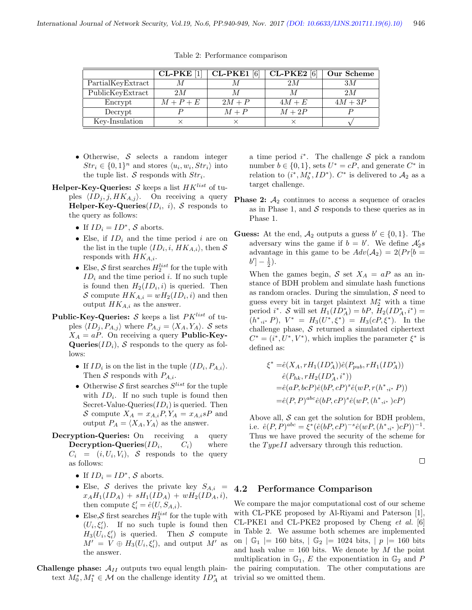|                   | <b>CL-PKE</b> | $CL-PKE1$ [6] | $CL-PKE2$ [6] | Our Scheme |
|-------------------|---------------|---------------|---------------|------------|
| PartialKeyExtract |               |               | 2M            | ЗM         |
| PublicKeyExtract  | 2M            |               |               | 2M         |
| Encrypt           | $M+P+E$       | $2M + P$      | $4M+E$        | $4M+3P$    |
| Decrypt           |               | $M + P$       | $M+2P$        |            |
| Key-Insulation    |               |               |               |            |

Table 2: Performance comparison

- Otherwise, S selects a random integer  $Str_i \in \{0,1\}^n$  and stores  $\langle u_i, w_i, Str_i \rangle$  into the tuple list.  $S$  responds with  $Str_i$ .
- **Helper-Key-Queries:** S keeps a list  $HK^{list}$  of tuples  $\langle ID_j, j, HK_{A,j} \rangle$ . On receiving a query Helper-Key-Queries $(ID_i, i)$ ,  $\mathcal S$  responds to the query as follows:
	- If  $ID_i = ID^*, S$  aborts.
	- Else, if  $ID_i$  and the time period i are on the list in the tuple  $\langle ID_i, i, HK_{A,i} \rangle$ , then S responds with  $HK_{A,i}$ .
	- Else,  $S$  first searches  $H_2^{list}$  for the tuple with  $ID_i$  and the time period i. If no such tuple is found then  $H_2(ID_i, i)$  is queried. Then S compute  $HK_{A,i} = wH_2(ID_i, i)$  and then output  $HK_{A,i}$  as the answer.
- **Public-Key-Queries:** S keeps a list  $PK^{list}$  of tuples  $\langle ID_j, P_{A,j} \rangle$  where  $P_{A,j} = \langle X_A, Y_A \rangle$ . S sets  $X_A = aP$ . On receiving a query **Public-Key-**Queries( $ID_i$ ), S responds to the query as follows:
	- If  $ID_i$  is on the list in the tuple  $\langle ID_i, P_{A,i} \rangle$ . Then S responds with  $P_{A,i}$ .
	- Otherwise S first searches  $S^{list}$  for the tuple with  $ID_i$ . If no such tuple is found then Secret-Value-Queries $(ID_i)$  is queried. Then S compute  $X_A = x_{A,i}P, Y_A = x_{A,i}P$  and output  $P_A = \langle X_A, Y_A \rangle$  as the answer.
- Decryption-Queries: On receiving a query Decryption-Queries $(ID_i,$  $C_i$ ) where  $C_i = (i, U_i, V_i), S$  responds to the query as follows:
	- If  $ID_i = ID^*, S$  aborts.
	- Else, S derives the private key  $S_{A,i}$  =  $x_AH_1(ID_A) + sH_1(ID_A) + wH_2(ID_A, i),$ then compute  $\xi_i' = \hat{e}(U, S_{A,i}).$
	- Else, S first searches  $H_3^{list}$  for the tuple with  $(U_i, \xi'_i)$ . If no such tuple is found then  $H_3(U_i, \xi'_i)$  is queried. Then S compute  $M' = V \oplus H_3(U_i, \xi'_i)$ , and output  $M'$  as the answer.
- **Challenge phase:**  $A_{II}$  outputs two equal length plaintext  $M_0^*, M_1^* \in \mathcal{M}$  on the challenge identity  $ID_A^*$  at

a time period  $i^*$ . The challenge S pick a random number  $b \in \{0, 1\}$ , sets  $U^* = cP$ , and generate  $C^*$  in relation to  $(i^*, M_b^*, ID^*)$ .  $C^*$  is delivered to  $\mathcal{A}_2$  as a target challenge.

- **Phase 2:**  $A_2$  continues to access a sequence of oracles as in Phase 1, and  $\mathcal S$  responds to these queries as in Phase 1.
- **Guess:** At the end,  $A_2$  outputs a guess  $b' \in \{0, 1\}$ . The adversary wins the game if  $b = b'$ . We define  $\mathcal{A}'_2 s$ advantage in this game to be  $Adv(\mathcal{A}_2) = 2(Pr[b =$  $b'$ ] –  $\frac{1}{2}$ ).

When the games begin, S set  $X_A = aP$  as an instance of BDH problem and simulate hash functions as random oracles. During the simulation,  $S$  need to guess every bit in target plaintext  $M_2^*$  with a time period *i*<sup>\*</sup>. S will set  $H_1(ID_A^*) = bP$ ,  $H_2(ID_A^*, i^*) =$  $(h^*,i^* P), V^* = H_3(U^*,\xi^*) = H_3(cP,\xi^*)$ . In the challenge phase,  $S$  returned a simulated ciphertext  $C^* = (i^*, U^*, V^*)$ , which implies the parameter  $\xi^*$  is defined as:

$$
\xi^* = \hat{e}(X_A, rH_1(ID_A^*))\hat{e}(P_{pub}, rH_1(ID_A^*))
$$
  
\n
$$
\hat{e}(P_{hk}, rH_2(ID_A^*, i^*))
$$
  
\n
$$
= \hat{e}(aP, bcP)\hat{e}(bP, cP)^s\hat{e}(wP, r(h^*, i^* P))
$$
  
\n
$$
= \hat{e}(P, P)^{abc}\hat{e}(bP, cP)^s\hat{e}(wP, (h^*, i^*)cP)
$$

Above all,  $S$  can get the solution for BDH problem, i.e.  $\hat{e}(P, P)^{abc} = \xi^*(\hat{e}(bP, cP)^{-s}\hat{e}(wP, (h^*_{i^*}, )cP))^{-1}.$ Thus we have proved the security of the scheme for the  $TypeII$  adversary through this reduction.

 $\Box$ 

### 4.2 Performance Comparison

We compare the major computational cost of our scheme with CL-PKE proposed by Al-Riyami and Paterson [1], CL-PKE1 and CL-PKE2 proposed by Cheng et al. [6] in Table 2. We assume both schemes are implemented on  $\vert G_1 \vert = 160$  bits,  $\vert G_2 \vert = 1024$  bits,  $\vert p \vert = 160$  bits and hash value  $= 160$  bits. We denote by M the point multiplication in  $\mathbb{G}_1$ , E the exponentiation in  $\mathbb{G}_2$  and P the pairing computation. The other computations are trivial so we omitted them.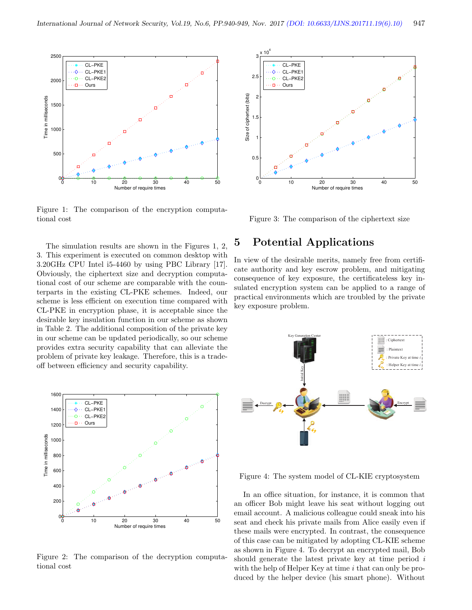

Figure 1: The comparison of the encryption computational cost

The simulation results are shown in the Figures 1, 2, 3. This experiment is executed on common desktop with 3.20GHz CPU Intel i5-4460 by using PBC Library [17]. Obviously, the ciphertext size and decryption computational cost of our scheme are comparable with the counterparts in the existing CL-PKE schemes. Indeed, our scheme is less efficient on execution time compared with CL-PKE in encryption phase, it is acceptable since the desirable key insulation function in our scheme as shown in Table 2. The additional composition of the private key in our scheme can be updated periodically, so our scheme provides extra security capability that can alleviate the problem of private key leakage. Therefore, this is a tradeoff between efficiency and security capability.



Figure 2: The comparison of the decryption computational cost



Figure 3: The comparison of the ciphertext size

## 5 Potential Applications

In view of the desirable merits, namely free from certificate authority and key escrow problem, and mitigating consequence of key exposure, the certificateless key insulated encryption system can be applied to a range of practical environments which are troubled by the private key exposure problem.



Figure 4: The system model of CL-KIE cryptosystem

In an office situation, for instance, it is common that an officer Bob might leave his seat without logging out email account. A malicious colleague could sneak into his seat and check his private mails from Alice easily even if these mails were encrypted. In contrast, the consequence of this case can be mitigated by adopting CL-KIE scheme as shown in Figure 4. To decrypt an encrypted mail, Bob should generate the latest private key at time period i with the help of Helper Key at time  $i$  that can only be produced by the helper device (his smart phone). Without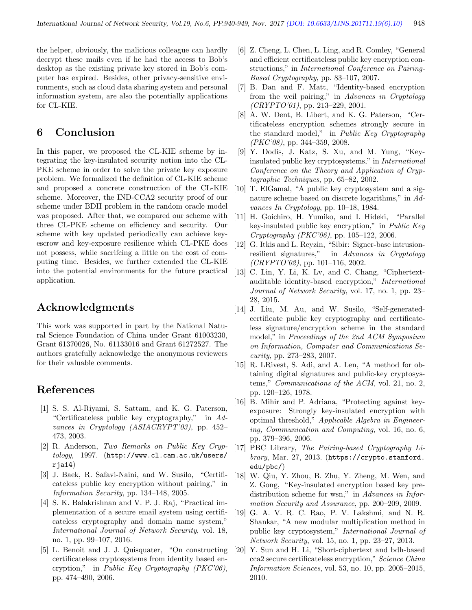the helper, obviously, the malicious colleague can hardly decrypt these mails even if he had the access to Bob's desktop as the existing private key stored in Bob's computer has expired. Besides, other privacy-sensitive environments, such as cloud data sharing system and personal information system, are also the potentially applications for CL-KIE.

## 6 Conclusion

In this paper, we proposed the CL-KIE scheme by integrating the key-insulated security notion into the CL-PKE scheme in order to solve the private key exposure problem. We formalized the definition of CL-KIE scheme and proposed a concrete construction of the CL-KIE scheme. Moreover, the IND-CCA2 security proof of our scheme under BDH problem in the random oracle model was proposed. After that, we compared our scheme with three CL-PKE scheme on efficiency and security. Our scheme with key updated periodically can achieve keyescrow and key-exposure resilience which CL-PKE does not possess, while sacrifcing a little on the cost of computing time. Besides, we further extended the CL-KIE into the potential environments for the future practical application.

## Acknowledgments

This work was supported in part by the National Natural Science Foundation of China under Grant 61003230, Grant 61370026, No. 61133016 and Grant 61272527. The authors gratefully acknowledge the anonymous reviewers for their valuable comments.

## References

- [1] S. S. Al-Riyami, S. Sattam, and K. G. Paterson, "Certificateless public key cryptography," in Advances in Cryptology (ASIACRYPT'03), pp. 452– 473, 2003.
- [2] R. Anderson, Two Remarks on Public Key Cryptology, 1997. (http://www.cl.cam.ac.uk/users/ rja14)
- [3] J. Baek, R. Safavi-Naini, and W. Susilo, "Certificateless public key encryption without pairing," in Information Security, pp. 134–148, 2005.
- [4] S. K. Balakrishnan and V. P. J. Raj, "Practical implementation of a secure email system using certificateless cryptography and domain name system," International Journal of Network Security, vol. 18, no. 1, pp. 99–107, 2016.
- [5] L. Benoit and J. J. Quisquater, "On constructing certificateless cryptosystems from identity based encryption," in Public Key Cryptography (PKC'06), pp. 474–490, 2006.
- [6] Z. Cheng, L. Chen, L. Ling, and R. Comley, "General and efficient certificateless public key encryption constructions," in International Conference on Pairing-Based Cryptography, pp. 83–107, 2007.
- [7] B. Dan and F. Matt, "Identity-based encryption from the weil pairing," in Advances in Cryptology  $(CRYPTO'01)$ , pp. 213-229, 2001.
- [8] A. W. Dent, B. Libert, and K. G. Paterson, "Certificateless encryption schemes strongly secure in the standard model," in Public Key Cryptography (PKC'08), pp. 344–359, 2008.
- [9] Y. Dodis, J. Katz, S. Xu, and M. Yung, "Keyinsulated public key cryptosystems," in International Conference on the Theory and Application of Cryptographic Techniques, pp. 65–82, 2002.
- [10] T. ElGamal, "A public key cryptosystem and a signature scheme based on discrete logarithms," in Advances In Cryptology, pp. 10–18, 1984.
- [11] H. Goichiro, H. Yumiko, and I. Hideki, "Parallel key-insulated public key encryption," in Public Key Cryptography (PKC'06), pp. 105–122, 2006.
- [12] G. Itkis and L. Reyzin, "Sibir: Signer-base intrusionresilient signatures," in Advances in Cryptology  $(CRYPTO'02)$ , pp. 101-116, 2002.
- [13] C. Lin, Y. Li, K. Lv, and C. Chang, "Ciphertextauditable identity-based encryption," International Journal of Network Security, vol. 17, no. 1, pp. 23– 28, 2015.
- [14] J. Liu, M. Au, and W. Susilo, "Self-generatedcertificate public key cryptography and certificateless signature/encryption scheme in the standard model," in Proceedings of the 2nd ACM Symposium on Information, Computer and Communications Security, pp. 273–283, 2007.
- [15] R. LRivest, S. Adi, and A. Len, "A method for obtaining digital signatures and public-key cryptosystems," Communications of the ACM, vol. 21, no. 2, pp. 120–126, 1978.
- [16] B. Mihir and P. Adriana, "Protecting against keyexposure: Strongly key-insulated encryption with optimal threshold," Applicable Algebra in Engineering, Communication and Computing, vol. 16, no. 6, pp. 379–396, 2006.
- [17] PBC Library, The Pairing-based Cryptography Library, Mar. 27, 2013. (https://crypto.stanford. edu/pbc/)
- [18] W. Qiu, Y. Zhou, B. Zhu, Y. Zheng, M. Wen, and Z. Gong, "Key-insulated encryption based key predistribution scheme for wsn," in Advances in Information Security and Assurance, pp. 200–209, 2009.
- [19] G. A. V. R. C. Rao, P. V. Lakshmi, and N. R. Shankar, "A new modular multiplication method in public key cryptosystem," International Journal of Network Security, vol. 15, no. 1, pp. 23–27, 2013.
- [20] Y. Sun and H. Li, "Short-ciphertext and bdh-based cca2 secure certificateless encryption," Science China Information Sciences, vol. 53, no. 10, pp. 2005–2015, 2010.